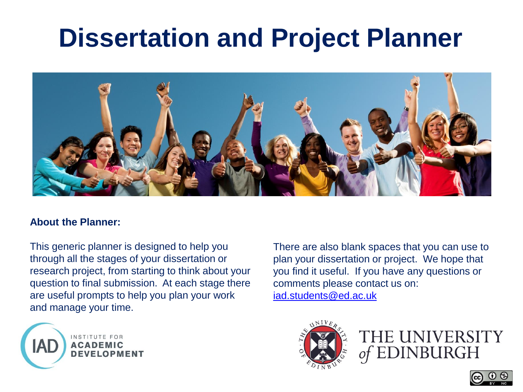# **Dissertation and Project Planner**



#### **About the Planner:**

This generic planner is designed to help you through all the stages of your dissertation or research project, from starting to think about your question to final submission. At each stage there are useful prompts to help you plan your work and manage your time.



There are also blank spaces that you can use to plan your dissertation or project. We hope that you find it useful. If you have any questions or comments please contact us on: [iad.students@ed.ac.uk](mailto:iad.students@ed.ac.uk)



THE UNIVERSITY **EDINBURGH** 

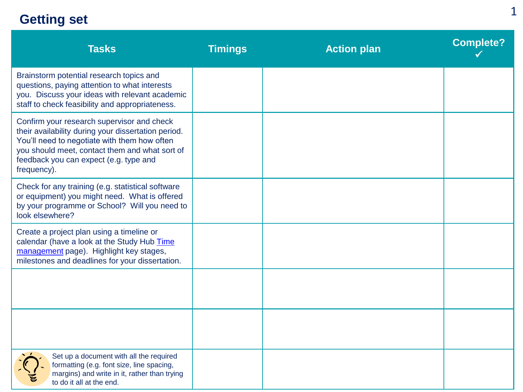### **Getting set**

| <b>Tasks</b>                                                                                                                                                                                                                                                 | <b>Timings</b> | <b>Action plan</b> | <b>Complete?</b> |
|--------------------------------------------------------------------------------------------------------------------------------------------------------------------------------------------------------------------------------------------------------------|----------------|--------------------|------------------|
| Brainstorm potential research topics and<br>questions, paying attention to what interests<br>you. Discuss your ideas with relevant academic<br>staff to check feasibility and appropriateness.                                                               |                |                    |                  |
| Confirm your research supervisor and check<br>their availability during your dissertation period.<br>You'll need to negotiate with them how often<br>you should meet, contact them and what sort of<br>feedback you can expect (e.g. type and<br>frequency). |                |                    |                  |
| Check for any training (e.g. statistical software<br>or equipment) you might need. What is offered<br>by your programme or School? Will you need to<br>look elsewhere?                                                                                       |                |                    |                  |
| Create a project plan using a timeline or<br>calendar (have a look at the Study Hub Time<br>management page). Highlight key stages,<br>milestones and deadlines for your dissertation.                                                                       |                |                    |                  |
|                                                                                                                                                                                                                                                              |                |                    |                  |
|                                                                                                                                                                                                                                                              |                |                    |                  |
| Set up a document with all the required<br>formatting (e.g. font size, line spacing,<br>margins) and write in it, rather than trying<br>to do it all at the end.                                                                                             |                |                    |                  |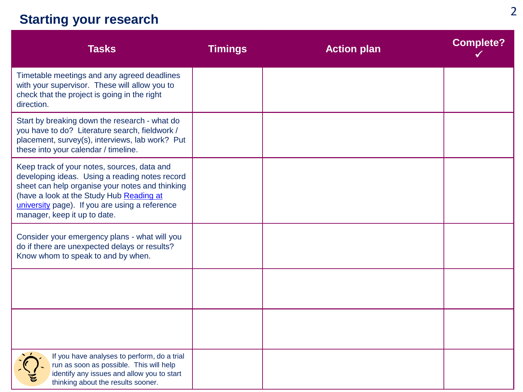## **Starting your research**

| <b>Tasks</b>                                                                                                                                                                                                                                                                   | <b>Timings</b> | <b>Action plan</b> | <b>Complete?</b> |
|--------------------------------------------------------------------------------------------------------------------------------------------------------------------------------------------------------------------------------------------------------------------------------|----------------|--------------------|------------------|
| Timetable meetings and any agreed deadlines<br>with your supervisor. These will allow you to<br>check that the project is going in the right<br>direction.                                                                                                                     |                |                    |                  |
| Start by breaking down the research - what do<br>you have to do? Literature search, fieldwork /<br>placement, survey(s), interviews, lab work? Put<br>these into your calendar / timeline.                                                                                     |                |                    |                  |
| Keep track of your notes, sources, data and<br>developing ideas. Using a reading notes record<br>sheet can help organise your notes and thinking<br>(have a look at the Study Hub Reading at<br>university page). If you are using a reference<br>manager, keep it up to date. |                |                    |                  |
| Consider your emergency plans - what will you<br>do if there are unexpected delays or results?<br>Know whom to speak to and by when.                                                                                                                                           |                |                    |                  |
|                                                                                                                                                                                                                                                                                |                |                    |                  |
|                                                                                                                                                                                                                                                                                |                |                    |                  |
| If you have analyses to perform, do a trial<br>run as soon as possible. This will help<br>identify any issues and allow you to start<br>thinking about the results sooner.                                                                                                     |                |                    |                  |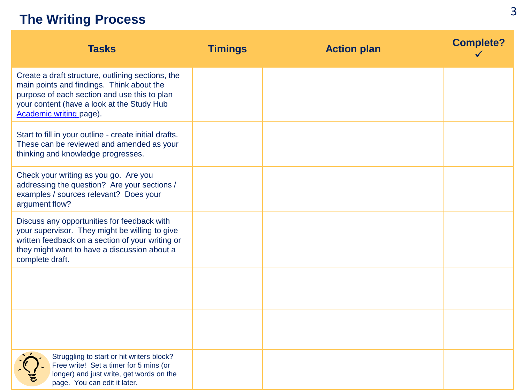#### **The Writing Process**

| <b>Tasks</b>                                                                                                                                                                                                            | <b>Timings</b> | <b>Action plan</b> | <b>Complete?</b> |
|-------------------------------------------------------------------------------------------------------------------------------------------------------------------------------------------------------------------------|----------------|--------------------|------------------|
| Create a draft structure, outlining sections, the<br>main points and findings. Think about the<br>purpose of each section and use this to plan<br>your content (have a look at the Study Hub<br>Academic writing page). |                |                    |                  |
| Start to fill in your outline - create initial drafts.<br>These can be reviewed and amended as your<br>thinking and knowledge progresses.                                                                               |                |                    |                  |
| Check your writing as you go. Are you<br>addressing the question? Are your sections /<br>examples / sources relevant? Does your<br>argument flow?                                                                       |                |                    |                  |
| Discuss any opportunities for feedback with<br>your supervisor. They might be willing to give<br>written feedback on a section of your writing or<br>they might want to have a discussion about a<br>complete draft.    |                |                    |                  |
|                                                                                                                                                                                                                         |                |                    |                  |
|                                                                                                                                                                                                                         |                |                    |                  |
| Struggling to start or hit writers block?<br>Free write! Set a timer for 5 mins (or<br>longer) and just write, get words on the<br>page. You can edit it later.                                                         |                |                    |                  |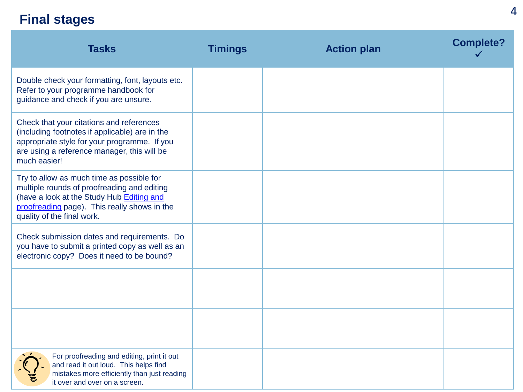### **Final stages**

| <b>Tasks</b>                                                                                                                                                                                                        | <b>Timings</b> | <b>Action plan</b> | <b>Complete?</b> |
|---------------------------------------------------------------------------------------------------------------------------------------------------------------------------------------------------------------------|----------------|--------------------|------------------|
| Double check your formatting, font, layouts etc.<br>Refer to your programme handbook for<br>guidance and check if you are unsure.                                                                                   |                |                    |                  |
| Check that your citations and references<br>(including footnotes if applicable) are in the<br>appropriate style for your programme. If you<br>are using a reference manager, this will be<br>much easier!           |                |                    |                  |
| Try to allow as much time as possible for<br>multiple rounds of proofreading and editing<br>(have a look at the Study Hub Editing and<br>proofreading page). This really shows in the<br>quality of the final work. |                |                    |                  |
| Check submission dates and requirements. Do<br>you have to submit a printed copy as well as an<br>electronic copy? Does it need to be bound?                                                                        |                |                    |                  |
|                                                                                                                                                                                                                     |                |                    |                  |
|                                                                                                                                                                                                                     |                |                    |                  |
| For proofreading and editing, print it out<br>and read it out loud. This helps find<br>mistakes more efficiently than just reading<br>it over and over on a screen.                                                 |                |                    |                  |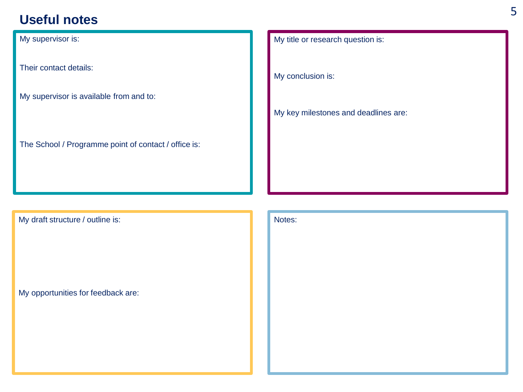#### **Useful notes**

My supervisor is:

Their contact details:

My supervisor is available from and to:

The School / Programme point of contact / office is:

My draft structure / outline is:

My opportunities for feedback are:

My title or research question is:

My conclusion is:

My key milestones and deadlines are:

Notes: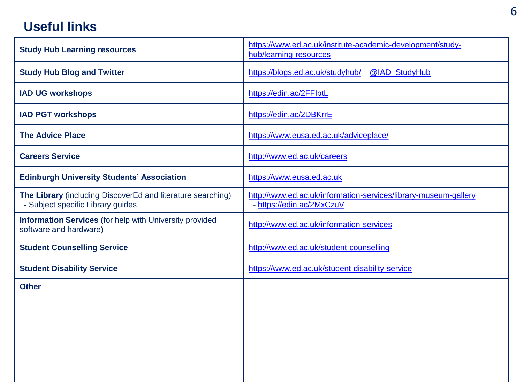#### **Useful links**

| <b>Study Hub Learning resources</b>                                                              | https://www.ed.ac.uk/institute-academic-development/study-<br>hub/learning-resources         |
|--------------------------------------------------------------------------------------------------|----------------------------------------------------------------------------------------------|
| <b>Study Hub Blog and Twitter</b>                                                                | https://blogs.ed.ac.uk/studyhub/<br>@IAD_StudyHub                                            |
| <b>IAD UG workshops</b>                                                                          | https://edin.ac/2FFlptL                                                                      |
| <b>IAD PGT workshops</b>                                                                         | https://edin.ac/2DBKrrE                                                                      |
| <b>The Advice Place</b>                                                                          | https://www.eusa.ed.ac.uk/adviceplace/                                                       |
| <b>Careers Service</b>                                                                           | http://www.ed.ac.uk/careers                                                                  |
| <b>Edinburgh University Students' Association</b>                                                | https://www.eusa.ed.ac.uk                                                                    |
| The Library (including DiscoverEd and literature searching)<br>- Subject specific Library guides | http://www.ed.ac.uk/information-services/library-museum-gallery<br>- https://edin.ac/2MxCzuV |
| <b>Information Services</b> (for help with University provided<br>software and hardware)         | http://www.ed.ac.uk/information-services                                                     |
| <b>Student Counselling Service</b>                                                               | http://www.ed.ac.uk/student-counselling                                                      |
| <b>Student Disability Service</b>                                                                | https://www.ed.ac.uk/student-disability-service                                              |
| <b>Other</b>                                                                                     |                                                                                              |
|                                                                                                  |                                                                                              |
|                                                                                                  |                                                                                              |
|                                                                                                  |                                                                                              |
|                                                                                                  |                                                                                              |